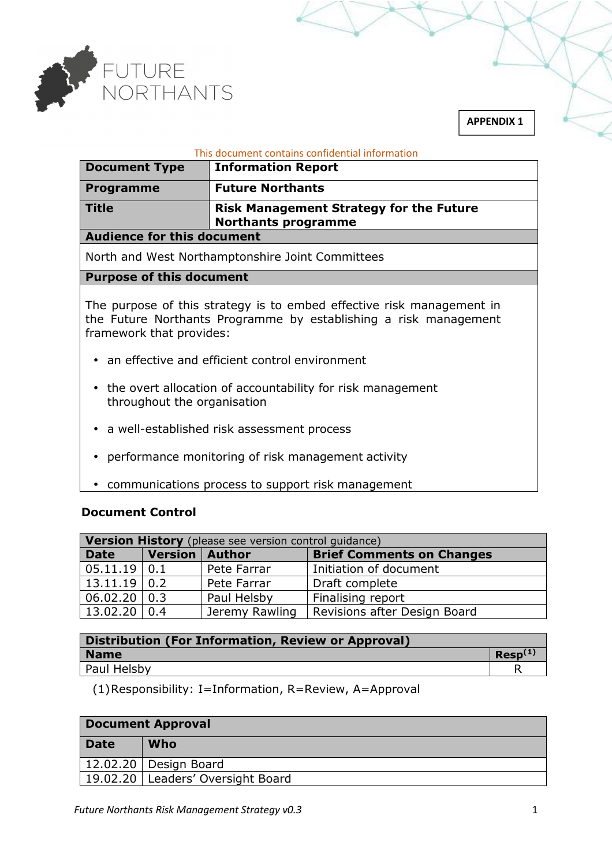

#### This document contains confidential information

| <b>Document Type</b> | <b>Information Report</b>                                                    |
|----------------------|------------------------------------------------------------------------------|
| <b>Programme</b>     | <b>Future Northants</b>                                                      |
| <b>Title</b>         | <b>Risk Management Strategy for the Future</b><br><b>Northants programme</b> |

#### **Audience for this document**

North and West Northamptonshire Joint Committees

### **Purpose of this document**

The purpose of this strategy is to embed effective risk management in the Future Northants Programme by establishing a risk management framework that provides:

- an effective and efficient control environment
- the overt allocation of accountability for risk management throughout the organisation
- a well-established risk assessment process
- performance monitoring of risk management activity
- communications process to support risk management

# **Document Control**

| <b>Version History</b> (please see version control guidance) |                         |                |                                  |
|--------------------------------------------------------------|-------------------------|----------------|----------------------------------|
| <b>Date</b>                                                  | <b>Version   Author</b> |                | <b>Brief Comments on Changes</b> |
| 05.11.19 0.1                                                 |                         | Pete Farrar    | Initiation of document           |
| $13.11.19$ 0.2                                               |                         | Pete Farrar    | Draft complete                   |
| 06.02.20   0.3                                               |                         | Paul Helsby    | Finalising report                |
| $13.02.20$ 0.4                                               |                         | Jeremy Rawling | Revisions after Design Board     |

| Distribution (For Information, Review or Approval) |              |
|----------------------------------------------------|--------------|
| <b>Name</b>                                        | $Resp^{(1)}$ |
| Paul Helsby                                        |              |

(1)Responsibility: I=Information, R=Review, A=Approval

| <b>Document Approval</b> |                                     |  |
|--------------------------|-------------------------------------|--|
| <b>Date</b>              | Who                                 |  |
|                          | 12.02.20   Design Board             |  |
|                          | 19.02.20   Leaders' Oversight Board |  |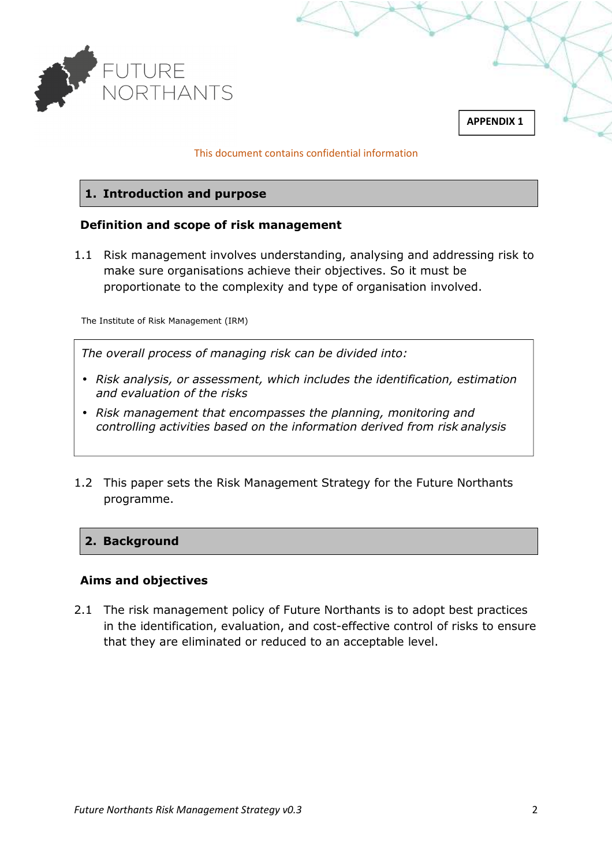

#### This document contains confidential information

### **1. Introduction and purpose**

### **Definition and scope of risk management**

1.1 Risk management involves understanding, analysing and addressing risk to make sure organisations achieve their objectives. So it must be proportionate to the complexity and type of organisation involved.

The Institute of Risk Management (IRM)

*The overall process of managing risk can be divided into:* 

- *Risk analysis, or assessment, which includes the identification, estimation and evaluation of the risks*
- *Risk management that encompasses the planning, monitoring and controlling activities based on the information derived from risk analysis*
- 1.2 This paper sets the Risk Management Strategy for the Future Northants programme.

#### **2. Background**

#### **Aims and objectives**

2.1 The risk management policy of Future Northants is to adopt best practices in the identification, evaluation, and cost-effective control of risks to ensure that they are eliminated or reduced to an acceptable level.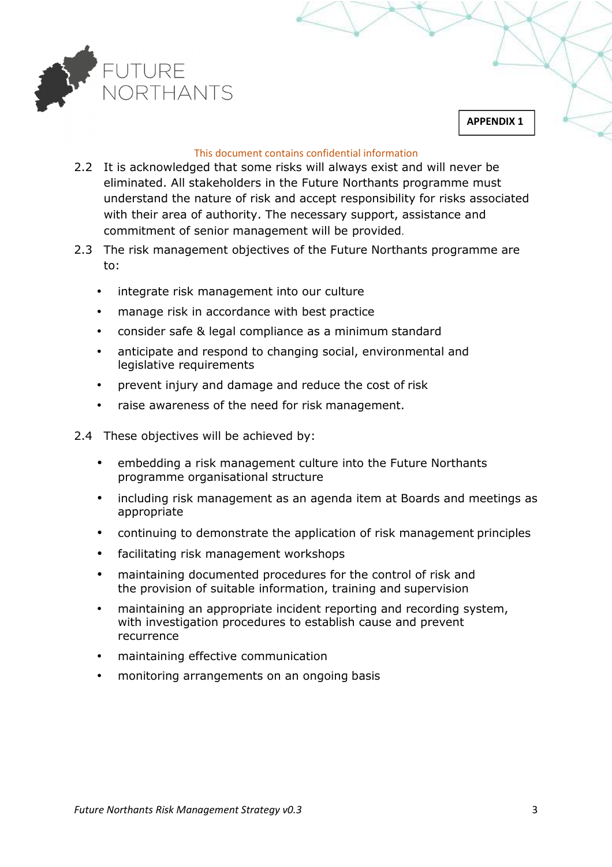

#### This document contains confidential information

- 2.2 It is acknowledged that some risks will always exist and will never be eliminated. All stakeholders in the Future Northants programme must understand the nature of risk and accept responsibility for risks associated with their area of authority. The necessary support, assistance and commitment of senior management will be provided.
- 2.3 The risk management objectives of the Future Northants programme are to:
	- integrate risk management into our culture
	- manage risk in accordance with best practice
	- consider safe & legal compliance as a minimum standard
	- anticipate and respond to changing social, environmental and legislative requirements
	- prevent injury and damage and reduce the cost of risk
	- raise awareness of the need for risk management.
- 2.4 These objectives will be achieved by:
	- embedding a risk management culture into the Future Northants programme organisational structure
	- including risk management as an agenda item at Boards and meetings as appropriate
	- continuing to demonstrate the application of risk management principles
	- facilitating risk management workshops
	- maintaining documented procedures for the control of risk and the provision of suitable information, training and supervision
	- maintaining an appropriate incident reporting and recording system, with investigation procedures to establish cause and prevent recurrence
	- maintaining effective communication
	- monitoring arrangements on an ongoing basis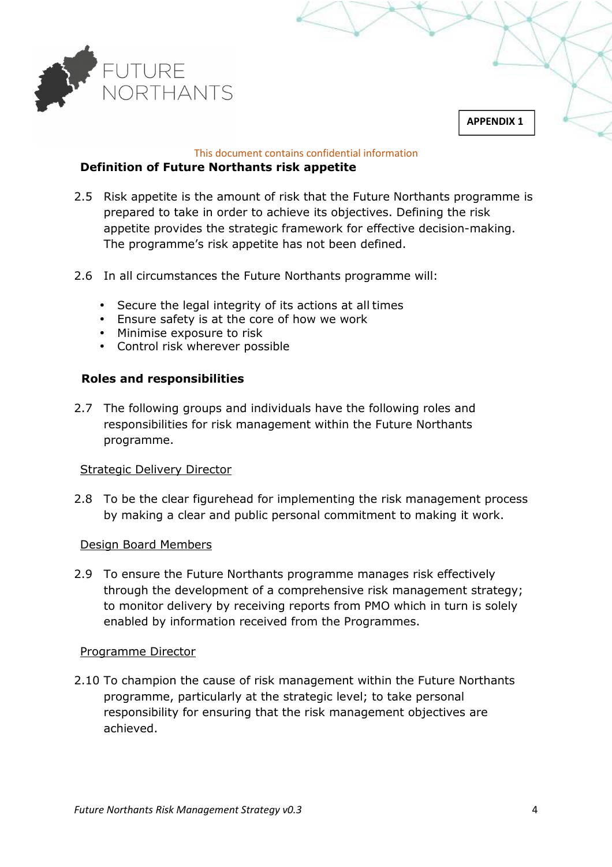

# This document contains confidential information

# **Definition of Future Northants risk appetite**

- 2.5 Risk appetite is the amount of risk that the Future Northants programme is prepared to take in order to achieve its objectives. Defining the risk appetite provides the strategic framework for effective decision-making. The programme's risk appetite has not been defined.
- 2.6 In all circumstances the Future Northants programme will:
	- Secure the legal integrity of its actions at all times
	- Ensure safety is at the core of how we work
	- Minimise exposure to risk
	- Control risk wherever possible

# **Roles and responsibilities**

2.7 The following groups and individuals have the following roles and responsibilities for risk management within the Future Northants programme.

# Strategic Delivery Director

2.8 To be the clear figurehead for implementing the risk management process by making a clear and public personal commitment to making it work.

#### Design Board Members

2.9 To ensure the Future Northants programme manages risk effectively through the development of a comprehensive risk management strategy; to monitor delivery by receiving reports from PMO which in turn is solely enabled by information received from the Programmes.

#### Programme Director

2.10 To champion the cause of risk management within the Future Northants programme, particularly at the strategic level; to take personal responsibility for ensuring that the risk management objectives are achieved.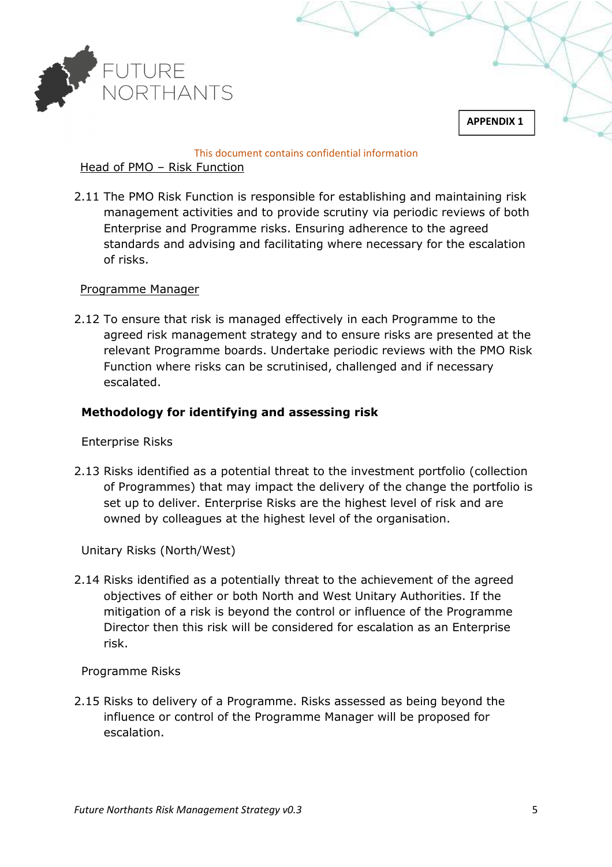

#### This document contains confidential information

# Head of PMO – Risk Function

2.11 The PMO Risk Function is responsible for establishing and maintaining risk management activities and to provide scrutiny via periodic reviews of both Enterprise and Programme risks. Ensuring adherence to the agreed standards and advising and facilitating where necessary for the escalation of risks.

# Programme Manager

2.12 To ensure that risk is managed effectively in each Programme to the agreed risk management strategy and to ensure risks are presented at the relevant Programme boards. Undertake periodic reviews with the PMO Risk Function where risks can be scrutinised, challenged and if necessary escalated.

# **Methodology for identifying and assessing risk**

# Enterprise Risks

2.13 Risks identified as a potential threat to the investment portfolio (collection of Programmes) that may impact the delivery of the change the portfolio is set up to deliver. Enterprise Risks are the highest level of risk and are owned by colleagues at the highest level of the organisation.

Unitary Risks (North/West)

2.14 Risks identified as a potentially threat to the achievement of the agreed objectives of either or both North and West Unitary Authorities. If the mitigation of a risk is beyond the control or influence of the Programme Director then this risk will be considered for escalation as an Enterprise risk.

# Programme Risks

2.15 Risks to delivery of a Programme. Risks assessed as being beyond the influence or control of the Programme Manager will be proposed for escalation.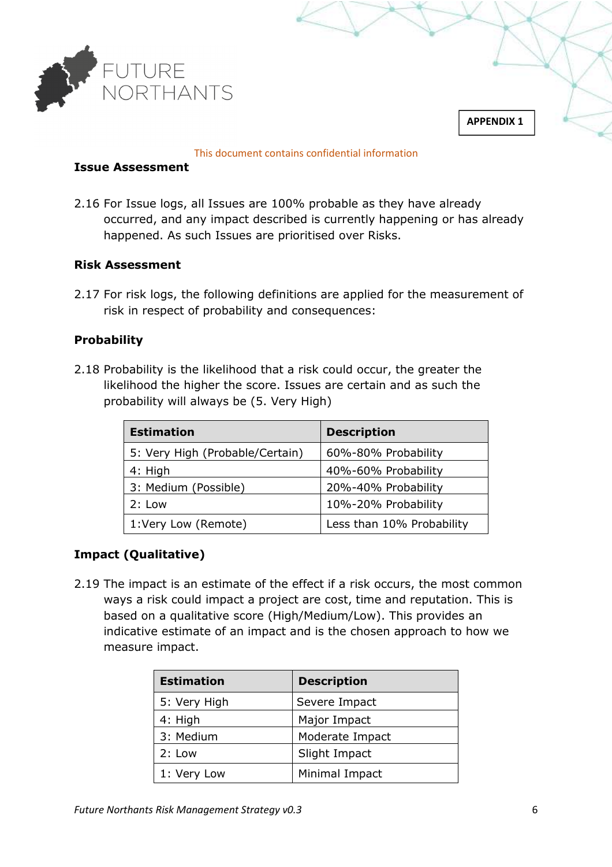

#### This document contains confidential information

#### **Issue Assessment**

2.16 For Issue logs, all Issues are 100% probable as they have already occurred, and any impact described is currently happening or has already happened. As such Issues are prioritised over Risks.

# **Risk Assessment**

2.17 For risk logs, the following definitions are applied for the measurement of risk in respect of probability and consequences:

# **Probability**

2.18 Probability is the likelihood that a risk could occur, the greater the likelihood the higher the score. Issues are certain and as such the probability will always be (5. Very High)

| <b>Estimation</b>               | <b>Description</b>        |
|---------------------------------|---------------------------|
| 5: Very High (Probable/Certain) | 60%-80% Probability       |
| 4: High                         | 40%-60% Probability       |
| 3: Medium (Possible)            | 20%-40% Probability       |
| 2: Low                          | 10%-20% Probability       |
| 1:Very Low (Remote)             | Less than 10% Probability |

# **Impact (Qualitative)**

2.19 The impact is an estimate of the effect if a risk occurs, the most common ways a risk could impact a project are cost, time and reputation. This is based on a qualitative score (High/Medium/Low). This provides an indicative estimate of an impact and is the chosen approach to how we measure impact.

| <b>Estimation</b> | <b>Description</b> |
|-------------------|--------------------|
| 5: Very High      | Severe Impact      |
| 4: High           | Major Impact       |
| 3: Medium         | Moderate Impact    |
| 2: Low            | Slight Impact      |
| 1: Very Low       | Minimal Impact     |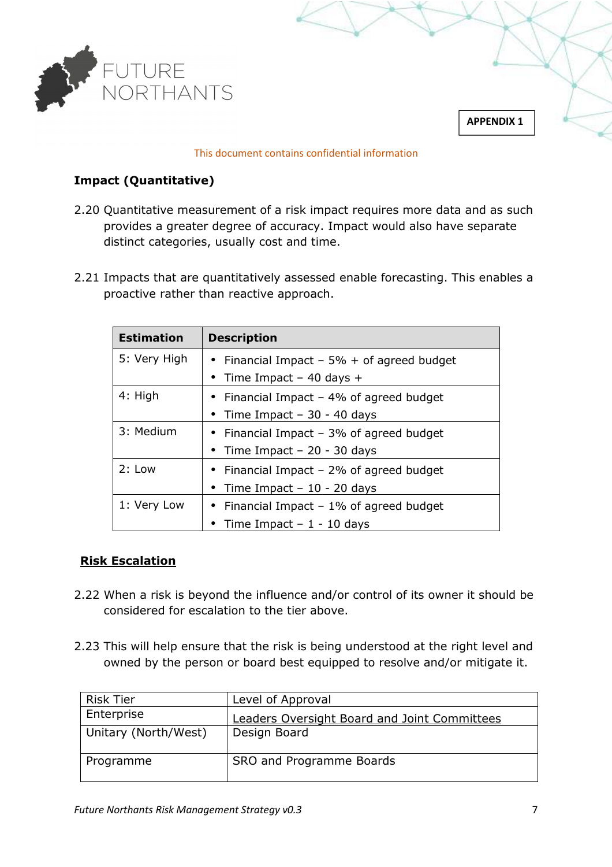

#### This document contains confidential information

# **Impact (Quantitative)**

- 2.20 Quantitative measurement of a risk impact requires more data and as such provides a greater degree of accuracy. Impact would also have separate distinct categories, usually cost and time.
- 2.21 Impacts that are quantitatively assessed enable forecasting. This enables a proactive rather than reactive approach.

| <b>Estimation</b> | <b>Description</b>                            |
|-------------------|-----------------------------------------------|
| 5: Very High      | • Financial Impact – $5\%$ + of agreed budget |
|                   | • Time Impact $-$ 40 days $+$                 |
| 4: High           | • Financial Impact $-4\%$ of agreed budget    |
|                   | • Time Impact – 30 - 40 days                  |
| 3: Medium         | • Financial Impact $-3\%$ of agreed budget    |
|                   | • Time Impact $-20 - 30$ days                 |
| 2: Low            | • Financial Impact $-2\%$ of agreed budget    |
|                   | • Time Impact - $10 - 20$ days                |
| 1: Very Low       | • Financial Impact $-1\%$ of agreed budget    |
|                   | Time Impact $-1 - 10$ days                    |

# **Risk Escalation**

- 2.22 When a risk is beyond the influence and/or control of its owner it should be considered for escalation to the tier above.
- 2.23 This will help ensure that the risk is being understood at the right level and owned by the person or board best equipped to resolve and/or mitigate it.

| <b>Risk Tier</b>     | Level of Approval                            |
|----------------------|----------------------------------------------|
| Enterprise           | Leaders Oversight Board and Joint Committees |
| Unitary (North/West) | Design Board                                 |
| Programme            | SRO and Programme Boards                     |